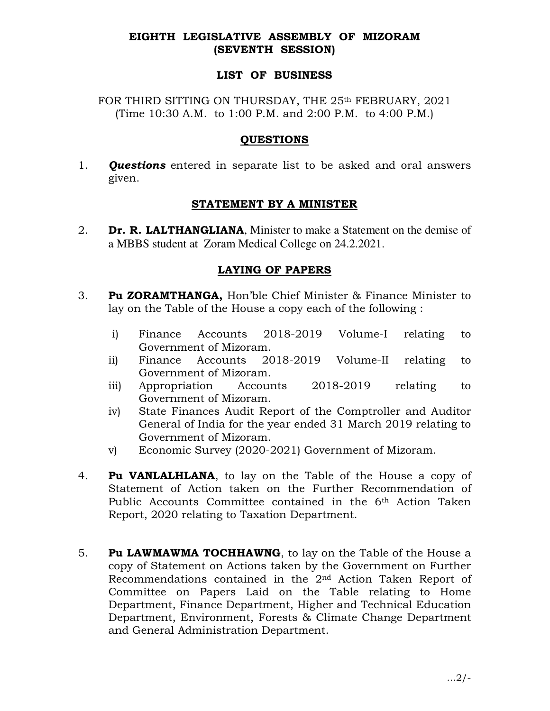# EIGHTH LEGISLATIVE ASSEMBLY OF MIZORAM (SEVENTH SESSION)

## LIST OF BUSINESS

FOR THIRD SITTING ON THURSDAY, THE 25<sup>th</sup> FEBRUARY, 2021 (Time 10:30 A.M. to 1:00 P.M. and 2:00 P.M. to 4:00 P.M.)

## **QUESTIONS**

1. **Questions** entered in separate list to be asked and oral answers given.

# STATEMENT BY A MINISTER

2. **Dr. R. LALTHANGLIANA**, Minister to make a Statement on the demise of a MBBS student at Zoram Medical College on 24.2.2021.

# LAYING OF PAPERS

- 3. Pu ZORAMTHANGA, Hon'ble Chief Minister & Finance Minister to lay on the Table of the House a copy each of the following :
	- i) Finance Accounts 2018-2019 Volume-I relating to Government of Mizoram.
	- ii) Finance Accounts 2018-2019 Volume-II relating to Government of Mizoram.
	- iii) Appropriation Accounts 2018-2019 relating to Government of Mizoram.
	- iv) State Finances Audit Report of the Comptroller and Auditor General of India for the year ended 31 March 2019 relating to Government of Mizoram.
	- v) Economic Survey (2020-2021) Government of Mizoram.
- 4. **Pu VANLALHLANA**, to lay on the Table of the House a copy of Statement of Action taken on the Further Recommendation of Public Accounts Committee contained in the 6<sup>th</sup> Action Taken Report, 2020 relating to Taxation Department.
- 5. Pu LAWMAWMA TOCHHAWNG, to lay on the Table of the House a copy of Statement on Actions taken by the Government on Further Recommendations contained in the 2nd Action Taken Report of Committee on Papers Laid on the Table relating to Home Department, Finance Department, Higher and Technical Education Department, Environment, Forests & Climate Change Department and General Administration Department.